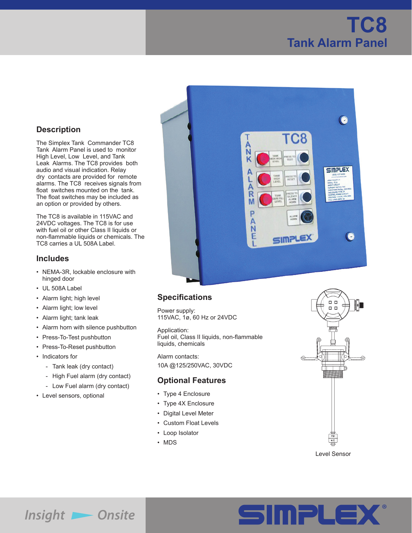# **TC8 Tank Alarm Panel**

### **Description**

The Simplex Tank Commander TC8 Tank Alarm Panel is used to monitor High Level, Low Level, and Tank Leak Alarms. The TC8 provides both audio and visual indication. Relay dry contacts are provided for remote alarms. The TC8 receives signals from float switches mounted on the tank. The float switches may be included as an option or provided by others.

The TC8 is available in 115VAC and 24VDC voltages. The TC8 is for use with fuel oil or other Class II liquids or non-flammable liquids or chemicals. The TC8 carries a UL 508A Label.

#### **Includes**

- NEMA-3R, lockable enclosure with hinged door
- UL 508A Label
- Alarm light; high level
- Alarm light; low level
- Alarm light; tank leak
- Alarm horn with silence pushbutton
- Press-To-Test pushbutton
- Press-To-Reset pushbutton
- Indicators for
	- Tank leak (dry contact)
	- High Fuel alarm (dry contact)
	- Low Fuel alarm (dry contact)
- Level sensors, optional



## **Specifications**

Power supply: 115VAC, 1ø, 60 Hz or 24VDC

Application: Fuel oil, Class II liquids, non-flammable liquids, chemicals

Alarm contacts: 10A @125/250VAC, 30VDC

#### **Optional Features**

- Type 4 Enclosure
- Type 4X Enclosure
- Digital Level Meter
- Custom Float Levels
- Loop Isolator
- MDS



Level Sensor